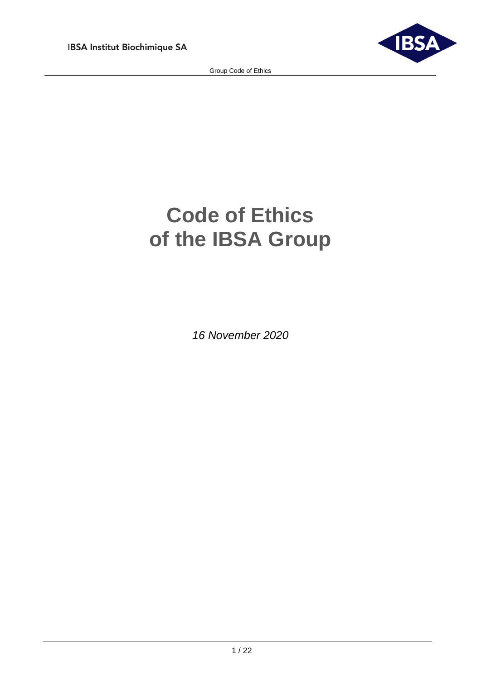

# **Code of Ethics of the IBSA Group**

*16 November 2020*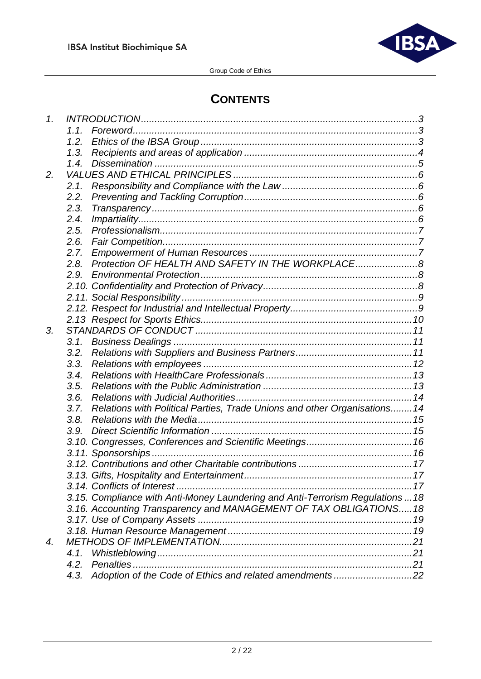

# **CONTENTS**

| 1. |      |                                                                                |  |
|----|------|--------------------------------------------------------------------------------|--|
|    | 1.1  |                                                                                |  |
|    | 1.2. |                                                                                |  |
|    | 1.3. |                                                                                |  |
|    | 1.4. |                                                                                |  |
| 2. |      |                                                                                |  |
|    | 2.1. |                                                                                |  |
|    | 2.2. |                                                                                |  |
|    | 2.3. |                                                                                |  |
|    | 2.4. |                                                                                |  |
|    | 2.5. |                                                                                |  |
|    | 2.6. |                                                                                |  |
|    | 2.7. |                                                                                |  |
|    | 2.8. | Protection OF HEALTH AND SAFETY IN THE WORKPLACE8                              |  |
|    | 2.9. |                                                                                |  |
|    |      |                                                                                |  |
|    |      |                                                                                |  |
|    |      |                                                                                |  |
|    |      |                                                                                |  |
| 3. |      |                                                                                |  |
|    | 3.1. |                                                                                |  |
|    | 3.2. |                                                                                |  |
|    | 3.3. |                                                                                |  |
|    | 3.4. |                                                                                |  |
|    | 3.5. |                                                                                |  |
|    | 3.6. |                                                                                |  |
|    | 3.7. | Relations with Political Parties, Trade Unions and other Organisations14       |  |
|    | 3.8. |                                                                                |  |
|    | 3.9. |                                                                                |  |
|    |      |                                                                                |  |
|    |      |                                                                                |  |
|    |      |                                                                                |  |
|    |      |                                                                                |  |
|    |      |                                                                                |  |
|    |      |                                                                                |  |
|    |      | 3.15. Compliance with Anti-Money Laundering and Anti-Terrorism Regulations  18 |  |
|    |      | 3.16. Accounting Transparency and MANAGEMENT OF TAX OBLIGATIONS18              |  |
|    |      |                                                                                |  |
|    |      |                                                                                |  |
| 4. |      |                                                                                |  |
|    | 4.1. |                                                                                |  |
|    | 4.2. |                                                                                |  |
|    |      | 4.3. Adoption of the Code of Ethics and related amendments22                   |  |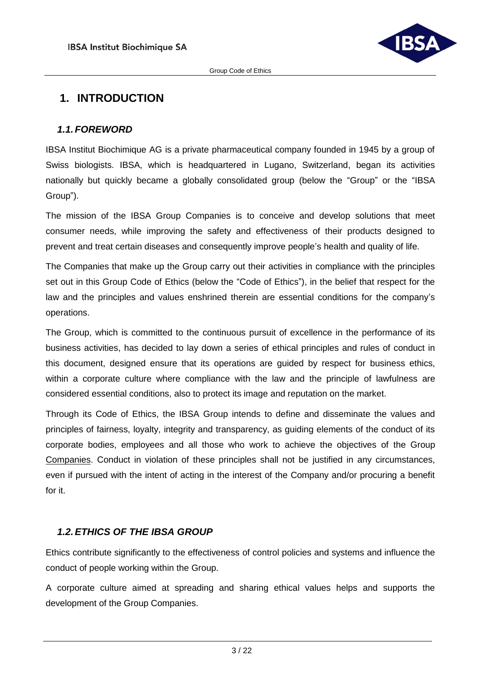

# <span id="page-2-0"></span>**1. INTRODUCTION**

#### <span id="page-2-1"></span>*1.1.FOREWORD*

IBSA Institut Biochimique AG is a private pharmaceutical company founded in 1945 by a group of Swiss biologists. IBSA, which is headquartered in Lugano, Switzerland, began its activities nationally but quickly became a globally consolidated group (below the "Group" or the "IBSA Group").

The mission of the IBSA Group Companies is to conceive and develop solutions that meet consumer needs, while improving the safety and effectiveness of their products designed to prevent and treat certain diseases and consequently improve people's health and quality of life.

The Companies that make up the Group carry out their activities in compliance with the principles set out in this Group Code of Ethics (below the "Code of Ethics"), in the belief that respect for the law and the principles and values enshrined therein are essential conditions for the company's operations.

The Group, which is committed to the continuous pursuit of excellence in the performance of its business activities, has decided to lay down a series of ethical principles and rules of conduct in this document, designed ensure that its operations are guided by respect for business ethics, within a corporate culture where compliance with the law and the principle of lawfulness are considered essential conditions, also to protect its image and reputation on the market.

Through its Code of Ethics, the IBSA Group intends to define and disseminate the values and principles of fairness, loyalty, integrity and transparency, as guiding elements of the conduct of its corporate bodies, employees and all those who work to achieve the objectives of the Group Companies. Conduct in violation of these principles shall not be justified in any circumstances, even if pursued with the intent of acting in the interest of the Company and/or procuring a benefit for it.

# <span id="page-2-2"></span>*1.2.ETHICS OF THE IBSA GROUP*

Ethics contribute significantly to the effectiveness of control policies and systems and influence the conduct of people working within the Group.

A corporate culture aimed at spreading and sharing ethical values helps and supports the development of the Group Companies.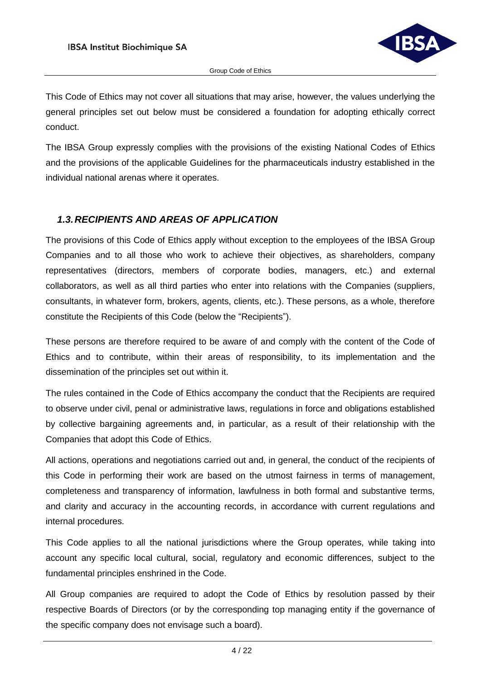

This Code of Ethics may not cover all situations that may arise, however, the values underlying the general principles set out below must be considered a foundation for adopting ethically correct conduct.

The IBSA Group expressly complies with the provisions of the existing National Codes of Ethics and the provisions of the applicable Guidelines for the pharmaceuticals industry established in the individual national arenas where it operates.

#### <span id="page-3-0"></span>*1.3.RECIPIENTS AND AREAS OF APPLICATION*

The provisions of this Code of Ethics apply without exception to the employees of the IBSA Group Companies and to all those who work to achieve their objectives, as shareholders, company representatives (directors, members of corporate bodies, managers, etc.) and external collaborators, as well as all third parties who enter into relations with the Companies (suppliers, consultants, in whatever form, brokers, agents, clients, etc.). These persons, as a whole, therefore constitute the Recipients of this Code (below the "Recipients").

These persons are therefore required to be aware of and comply with the content of the Code of Ethics and to contribute, within their areas of responsibility, to its implementation and the dissemination of the principles set out within it.

The rules contained in the Code of Ethics accompany the conduct that the Recipients are required to observe under civil, penal or administrative laws, regulations in force and obligations established by collective bargaining agreements and, in particular, as a result of their relationship with the Companies that adopt this Code of Ethics.

All actions, operations and negotiations carried out and, in general, the conduct of the recipients of this Code in performing their work are based on the utmost fairness in terms of management, completeness and transparency of information, lawfulness in both formal and substantive terms, and clarity and accuracy in the accounting records, in accordance with current regulations and internal procedures.

This Code applies to all the national jurisdictions where the Group operates, while taking into account any specific local cultural, social, regulatory and economic differences, subject to the fundamental principles enshrined in the Code.

All Group companies are required to adopt the Code of Ethics by resolution passed by their respective Boards of Directors (or by the corresponding top managing entity if the governance of the specific company does not envisage such a board).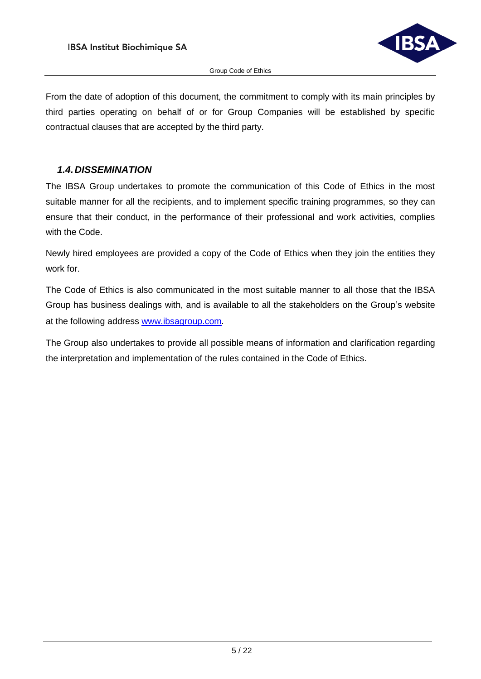

From the date of adoption of this document, the commitment to comply with its main principles by third parties operating on behalf of or for Group Companies will be established by specific contractual clauses that are accepted by the third party.

#### <span id="page-4-0"></span>*1.4.DISSEMINATION*

The IBSA Group undertakes to promote the communication of this Code of Ethics in the most suitable manner for all the recipients, and to implement specific training programmes, so they can ensure that their conduct, in the performance of their professional and work activities, complies with the Code.

Newly hired employees are provided a copy of the Code of Ethics when they join the entities they work for.

The Code of Ethics is also communicated in the most suitable manner to all those that the IBSA Group has business dealings with, and is available to all the stakeholders on the Group's website at the following address [www.ibsagroup.com](http://www.ibsagroup.com/)*.*

The Group also undertakes to provide all possible means of information and clarification regarding the interpretation and implementation of the rules contained in the Code of Ethics.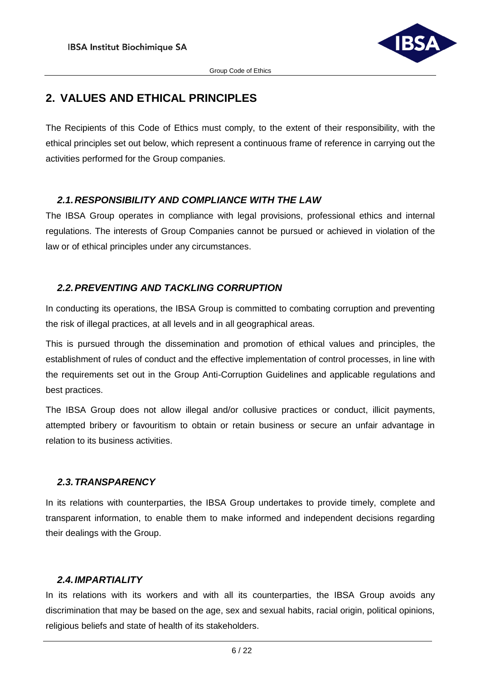

# <span id="page-5-0"></span>**2. VALUES AND ETHICAL PRINCIPLES**

The Recipients of this Code of Ethics must comply, to the extent of their responsibility, with the ethical principles set out below, which represent a continuous frame of reference in carrying out the activities performed for the Group companies.

# <span id="page-5-1"></span>*2.1.RESPONSIBILITY AND COMPLIANCE WITH THE LAW*

The IBSA Group operates in compliance with legal provisions, professional ethics and internal regulations. The interests of Group Companies cannot be pursued or achieved in violation of the law or of ethical principles under any circumstances.

# <span id="page-5-2"></span>*2.2.PREVENTING AND TACKLING CORRUPTION*

In conducting its operations, the IBSA Group is committed to combating corruption and preventing the risk of illegal practices, at all levels and in all geographical areas.

This is pursued through the dissemination and promotion of ethical values and principles, the establishment of rules of conduct and the effective implementation of control processes, in line with the requirements set out in the Group Anti-Corruption Guidelines and applicable regulations and best practices.

The IBSA Group does not allow illegal and/or collusive practices or conduct, illicit payments, attempted bribery or favouritism to obtain or retain business or secure an unfair advantage in relation to its business activities.

# <span id="page-5-3"></span>*2.3.TRANSPARENCY*

In its relations with counterparties, the IBSA Group undertakes to provide timely, complete and transparent information, to enable them to make informed and independent decisions regarding their dealings with the Group.

# <span id="page-5-4"></span>*2.4.IMPARTIALITY*

In its relations with its workers and with all its counterparties, the IBSA Group avoids any discrimination that may be based on the age, sex and sexual habits, racial origin, political opinions, religious beliefs and state of health of its stakeholders.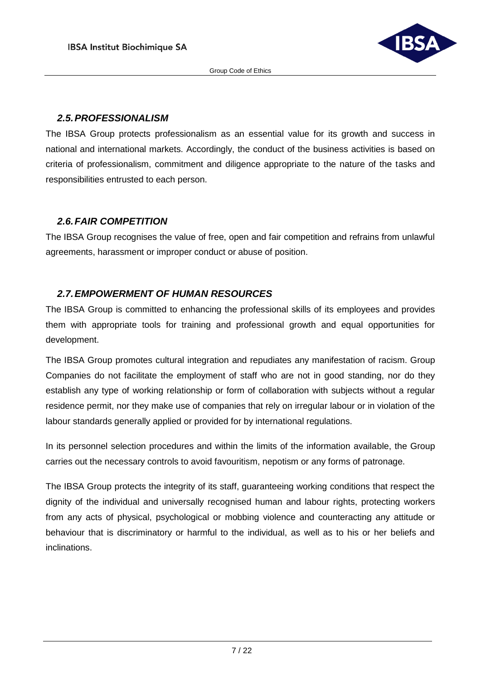

#### <span id="page-6-0"></span>*2.5.PROFESSIONALISM*

The IBSA Group protects professionalism as an essential value for its growth and success in national and international markets. Accordingly, the conduct of the business activities is based on criteria of professionalism, commitment and diligence appropriate to the nature of the tasks and responsibilities entrusted to each person.

# <span id="page-6-1"></span>*2.6.FAIR COMPETITION*

The IBSA Group recognises the value of free, open and fair competition and refrains from unlawful agreements, harassment or improper conduct or abuse of position.

# <span id="page-6-2"></span>*2.7.EMPOWERMENT OF HUMAN RESOURCES*

The IBSA Group is committed to enhancing the professional skills of its employees and provides them with appropriate tools for training and professional growth and equal opportunities for development.

The IBSA Group promotes cultural integration and repudiates any manifestation of racism. Group Companies do not facilitate the employment of staff who are not in good standing, nor do they establish any type of working relationship or form of collaboration with subjects without a regular residence permit, nor they make use of companies that rely on irregular labour or in violation of the labour standards generally applied or provided for by international regulations.

In its personnel selection procedures and within the limits of the information available, the Group carries out the necessary controls to avoid favouritism, nepotism or any forms of patronage.

The IBSA Group protects the integrity of its staff, guaranteeing working conditions that respect the dignity of the individual and universally recognised human and labour rights, protecting workers from any acts of physical, psychological or mobbing violence and counteracting any attitude or behaviour that is discriminatory or harmful to the individual, as well as to his or her beliefs and inclinations.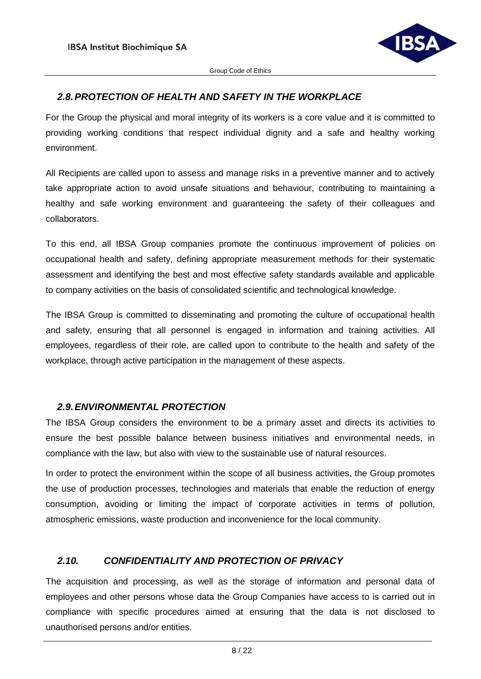

# <span id="page-7-0"></span>*2.8.PROTECTION OF HEALTH AND SAFETY IN THE WORKPLACE*

For the Group the physical and moral integrity of its workers is a core value and it is committed to providing working conditions that respect individual dignity and a safe and healthy working environment.

All Recipients are called upon to assess and manage risks in a preventive manner and to actively take appropriate action to avoid unsafe situations and behaviour, contributing to maintaining a healthy and safe working environment and guaranteeing the safety of their colleagues and collaborators.

To this end, all IBSA Group companies promote the continuous improvement of policies on occupational health and safety, defining appropriate measurement methods for their systematic assessment and identifying the best and most effective safety standards available and applicable to company activities on the basis of consolidated scientific and technological knowledge.

The IBSA Group is committed to disseminating and promoting the culture of occupational health and safety, ensuring that all personnel is engaged in information and training activities. All employees, regardless of their role, are called upon to contribute to the health and safety of the workplace, through active participation in the management of these aspects.

#### <span id="page-7-1"></span>*2.9.ENVIRONMENTAL PROTECTION*

The IBSA Group considers the environment to be a primary asset and directs its activities to ensure the best possible balance between business initiatives and environmental needs, in compliance with the law, but also with view to the sustainable use of natural resources.

In order to protect the environment within the scope of all business activities, the Group promotes the use of production processes, technologies and materials that enable the reduction of energy consumption, avoiding or limiting the impact of corporate activities in terms of pollution, atmospheric emissions, waste production and inconvenience for the local community.

# <span id="page-7-2"></span>*2.10. CONFIDENTIALITY AND PROTECTION OF PRIVACY*

The acquisition and processing, as well as the storage of information and personal data of employees and other persons whose data the Group Companies have access to is carried out in compliance with specific procedures aimed at ensuring that the data is not disclosed to unauthorised persons and/or entities.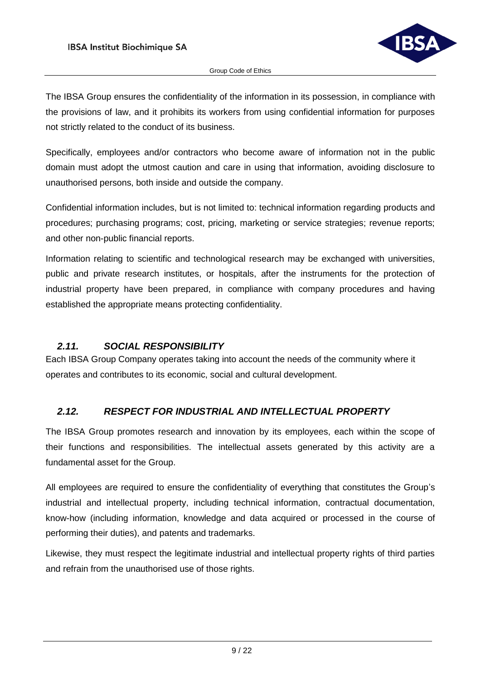

The IBSA Group ensures the confidentiality of the information in its possession, in compliance with the provisions of law, and it prohibits its workers from using confidential information for purposes not strictly related to the conduct of its business.

Specifically, employees and/or contractors who become aware of information not in the public domain must adopt the utmost caution and care in using that information, avoiding disclosure to unauthorised persons, both inside and outside the company.

Confidential information includes, but is not limited to: technical information regarding products and procedures; purchasing programs; cost, pricing, marketing or service strategies; revenue reports; and other non-public financial reports.

Information relating to scientific and technological research may be exchanged with universities, public and private research institutes, or hospitals, after the instruments for the protection of industrial property have been prepared, in compliance with company procedures and having established the appropriate means protecting confidentiality.

# <span id="page-8-0"></span>*2.11. SOCIAL RESPONSIBILITY*

Each IBSA Group Company operates taking into account the needs of the community where it operates and contributes to its economic, social and cultural development.

# <span id="page-8-1"></span>*2.12. RESPECT FOR INDUSTRIAL AND INTELLECTUAL PROPERTY*

The IBSA Group promotes research and innovation by its employees, each within the scope of their functions and responsibilities. The intellectual assets generated by this activity are a fundamental asset for the Group.

All employees are required to ensure the confidentiality of everything that constitutes the Group's industrial and intellectual property, including technical information, contractual documentation, know-how (including information, knowledge and data acquired or processed in the course of performing their duties), and patents and trademarks.

Likewise, they must respect the legitimate industrial and intellectual property rights of third parties and refrain from the unauthorised use of those rights.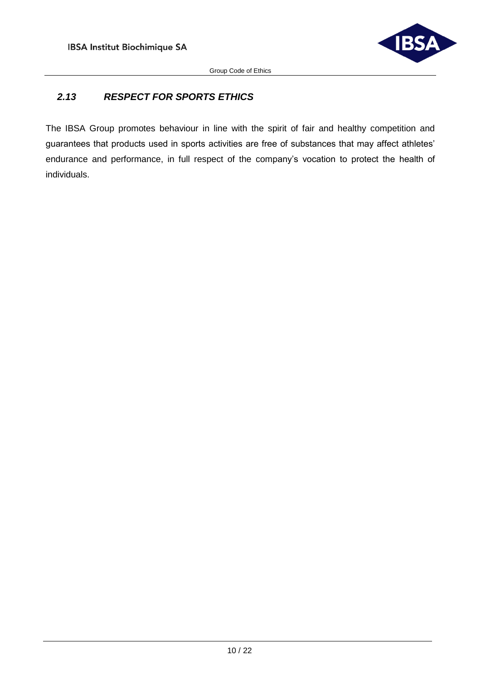

# <span id="page-9-0"></span>*2.13 RESPECT FOR SPORTS ETHICS*

The IBSA Group promotes behaviour in line with the spirit of fair and healthy competition and guarantees that products used in sports activities are free of substances that may affect athletes' endurance and performance, in full respect of the company's vocation to protect the health of individuals.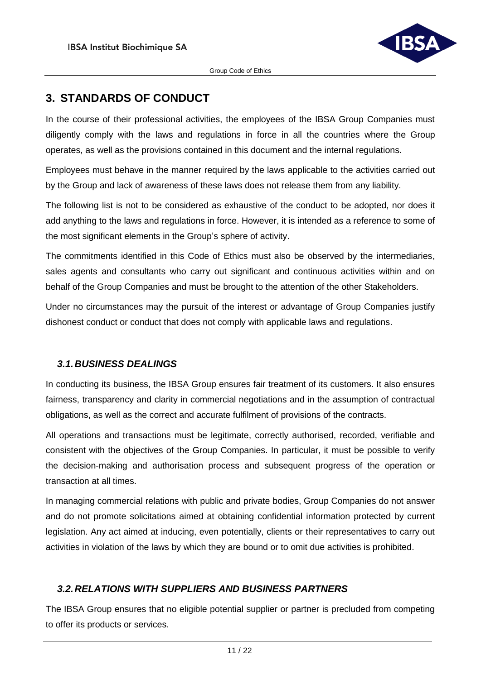

# <span id="page-10-0"></span>**3. STANDARDS OF CONDUCT**

In the course of their professional activities, the employees of the IBSA Group Companies must diligently comply with the laws and regulations in force in all the countries where the Group operates, as well as the provisions contained in this document and the internal regulations.

Employees must behave in the manner required by the laws applicable to the activities carried out by the Group and lack of awareness of these laws does not release them from any liability.

The following list is not to be considered as exhaustive of the conduct to be adopted, nor does it add anything to the laws and regulations in force. However, it is intended as a reference to some of the most significant elements in the Group's sphere of activity.

The commitments identified in this Code of Ethics must also be observed by the intermediaries, sales agents and consultants who carry out significant and continuous activities within and on behalf of the Group Companies and must be brought to the attention of the other Stakeholders.

Under no circumstances may the pursuit of the interest or advantage of Group Companies justify dishonest conduct or conduct that does not comply with applicable laws and regulations.

#### <span id="page-10-1"></span>*3.1.BUSINESS DEALINGS*

In conducting its business, the IBSA Group ensures fair treatment of its customers. It also ensures fairness, transparency and clarity in commercial negotiations and in the assumption of contractual obligations, as well as the correct and accurate fulfilment of provisions of the contracts.

All operations and transactions must be legitimate, correctly authorised, recorded, verifiable and consistent with the objectives of the Group Companies. In particular, it must be possible to verify the decision-making and authorisation process and subsequent progress of the operation or transaction at all times.

In managing commercial relations with public and private bodies, Group Companies do not answer and do not promote solicitations aimed at obtaining confidential information protected by current legislation. Any act aimed at inducing, even potentially, clients or their representatives to carry out activities in violation of the laws by which they are bound or to omit due activities is prohibited.

# <span id="page-10-2"></span>*3.2.RELATIONS WITH SUPPLIERS AND BUSINESS PARTNERS*

The IBSA Group ensures that no eligible potential supplier or partner is precluded from competing to offer its products or services.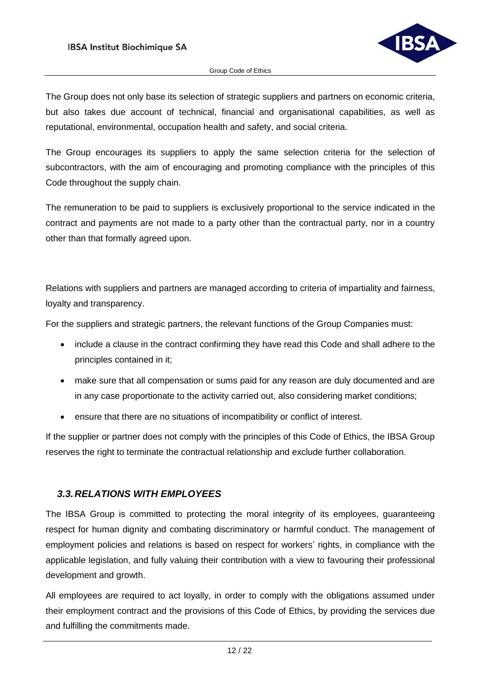

The Group does not only base its selection of strategic suppliers and partners on economic criteria, but also takes due account of technical, financial and organisational capabilities, as well as reputational, environmental, occupation health and safety, and social criteria.

The Group encourages its suppliers to apply the same selection criteria for the selection of subcontractors, with the aim of encouraging and promoting compliance with the principles of this Code throughout the supply chain.

The remuneration to be paid to suppliers is exclusively proportional to the service indicated in the contract and payments are not made to a party other than the contractual party, nor in a country other than that formally agreed upon.

Relations with suppliers and partners are managed according to criteria of impartiality and fairness, loyalty and transparency.

For the suppliers and strategic partners, the relevant functions of the Group Companies must:

- include a clause in the contract confirming they have read this Code and shall adhere to the principles contained in it;
- make sure that all compensation or sums paid for any reason are duly documented and are in any case proportionate to the activity carried out, also considering market conditions;
- ensure that there are no situations of incompatibility or conflict of interest.

If the supplier or partner does not comply with the principles of this Code of Ethics, the IBSA Group reserves the right to terminate the contractual relationship and exclude further collaboration.

#### <span id="page-11-0"></span>*3.3.RELATIONS WITH EMPLOYEES*

The IBSA Group is committed to protecting the moral integrity of its employees, guaranteeing respect for human dignity and combating discriminatory or harmful conduct. The management of employment policies and relations is based on respect for workers' rights, in compliance with the applicable legislation, and fully valuing their contribution with a view to favouring their professional development and growth.

All employees are required to act loyally, in order to comply with the obligations assumed under their employment contract and the provisions of this Code of Ethics, by providing the services due and fulfilling the commitments made.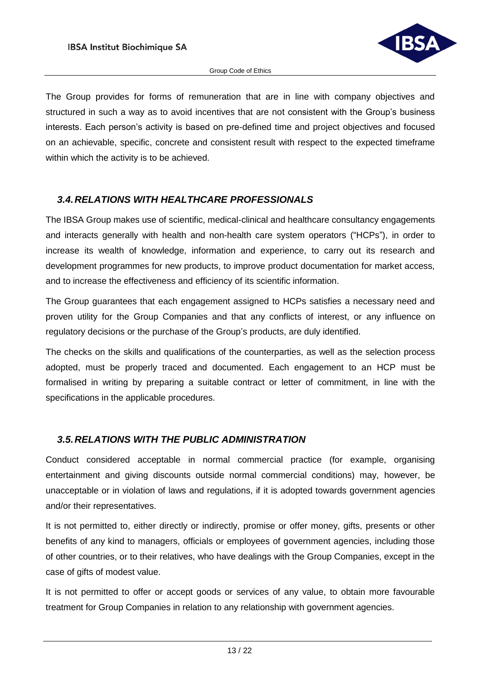

The Group provides for forms of remuneration that are in line with company objectives and structured in such a way as to avoid incentives that are not consistent with the Group's business interests. Each person's activity is based on pre-defined time and project objectives and focused on an achievable, specific, concrete and consistent result with respect to the expected timeframe within which the activity is to be achieved.

#### <span id="page-12-0"></span>*3.4.RELATIONS WITH HEALTHCARE PROFESSIONALS*

The IBSA Group makes use of scientific, medical-clinical and healthcare consultancy engagements and interacts generally with health and non-health care system operators ("HCPs"), in order to increase its wealth of knowledge, information and experience, to carry out its research and development programmes for new products, to improve product documentation for market access, and to increase the effectiveness and efficiency of its scientific information.

The Group guarantees that each engagement assigned to HCPs satisfies a necessary need and proven utility for the Group Companies and that any conflicts of interest, or any influence on regulatory decisions or the purchase of the Group's products, are duly identified.

The checks on the skills and qualifications of the counterparties, as well as the selection process adopted, must be properly traced and documented. Each engagement to an HCP must be formalised in writing by preparing a suitable contract or letter of commitment, in line with the specifications in the applicable procedures.

# <span id="page-12-1"></span>*3.5.RELATIONS WITH THE PUBLIC ADMINISTRATION*

Conduct considered acceptable in normal commercial practice (for example, organising entertainment and giving discounts outside normal commercial conditions) may, however, be unacceptable or in violation of laws and regulations, if it is adopted towards government agencies and/or their representatives.

It is not permitted to, either directly or indirectly, promise or offer money, gifts, presents or other benefits of any kind to managers, officials or employees of government agencies, including those of other countries, or to their relatives, who have dealings with the Group Companies, except in the case of gifts of modest value.

It is not permitted to offer or accept goods or services of any value, to obtain more favourable treatment for Group Companies in relation to any relationship with government agencies.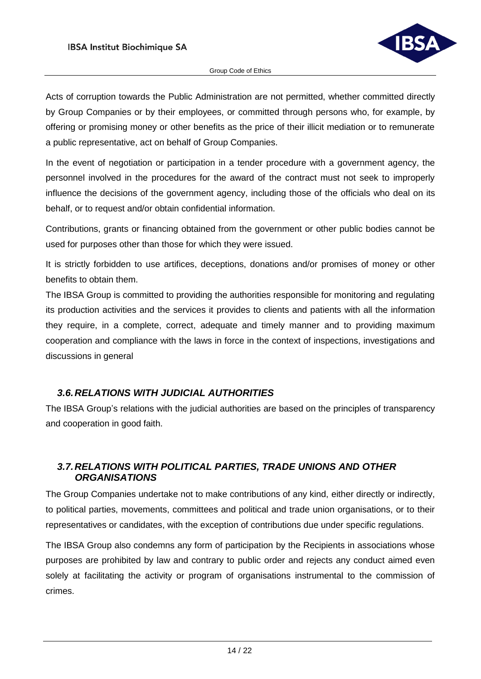

Acts of corruption towards the Public Administration are not permitted, whether committed directly by Group Companies or by their employees, or committed through persons who, for example, by offering or promising money or other benefits as the price of their illicit mediation or to remunerate a public representative, act on behalf of Group Companies.

In the event of negotiation or participation in a tender procedure with a government agency, the personnel involved in the procedures for the award of the contract must not seek to improperly influence the decisions of the government agency, including those of the officials who deal on its behalf, or to request and/or obtain confidential information.

Contributions, grants or financing obtained from the government or other public bodies cannot be used for purposes other than those for which they were issued.

It is strictly forbidden to use artifices, deceptions, donations and/or promises of money or other benefits to obtain them.

The IBSA Group is committed to providing the authorities responsible for monitoring and regulating its production activities and the services it provides to clients and patients with all the information they require, in a complete, correct, adequate and timely manner and to providing maximum cooperation and compliance with the laws in force in the context of inspections, investigations and discussions in general

# <span id="page-13-0"></span>*3.6.RELATIONS WITH JUDICIAL AUTHORITIES*

The IBSA Group's relations with the judicial authorities are based on the principles of transparency and cooperation in good faith.

# <span id="page-13-1"></span>*3.7.RELATIONS WITH POLITICAL PARTIES, TRADE UNIONS AND OTHER ORGANISATIONS*

The Group Companies undertake not to make contributions of any kind, either directly or indirectly, to political parties, movements, committees and political and trade union organisations, or to their representatives or candidates, with the exception of contributions due under specific regulations.

The IBSA Group also condemns any form of participation by the Recipients in associations whose purposes are prohibited by law and contrary to public order and rejects any conduct aimed even solely at facilitating the activity or program of organisations instrumental to the commission of crimes.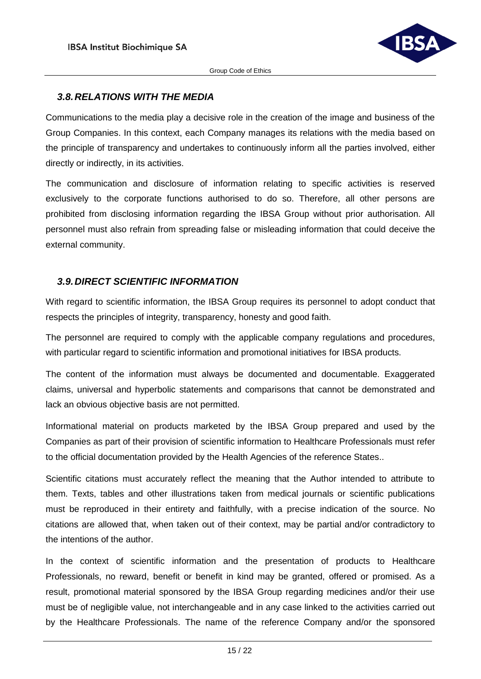

#### <span id="page-14-0"></span>*3.8.RELATIONS WITH THE MEDIA*

Communications to the media play a decisive role in the creation of the image and business of the Group Companies. In this context, each Company manages its relations with the media based on the principle of transparency and undertakes to continuously inform all the parties involved, either directly or indirectly, in its activities.

The communication and disclosure of information relating to specific activities is reserved exclusively to the corporate functions authorised to do so. Therefore, all other persons are prohibited from disclosing information regarding the IBSA Group without prior authorisation. All personnel must also refrain from spreading false or misleading information that could deceive the external community.

#### <span id="page-14-1"></span>*3.9.DIRECT SCIENTIFIC INFORMATION*

With regard to scientific information, the IBSA Group requires its personnel to adopt conduct that respects the principles of integrity, transparency, honesty and good faith.

The personnel are required to comply with the applicable company regulations and procedures, with particular regard to scientific information and promotional initiatives for IBSA products.

The content of the information must always be documented and documentable. Exaggerated claims, universal and hyperbolic statements and comparisons that cannot be demonstrated and lack an obvious objective basis are not permitted.

Informational material on products marketed by the IBSA Group prepared and used by the Companies as part of their provision of scientific information to Healthcare Professionals must refer to the official documentation provided by the Health Agencies of the reference States..

Scientific citations must accurately reflect the meaning that the Author intended to attribute to them. Texts, tables and other illustrations taken from medical journals or scientific publications must be reproduced in their entirety and faithfully, with a precise indication of the source. No citations are allowed that, when taken out of their context, may be partial and/or contradictory to the intentions of the author.

In the context of scientific information and the presentation of products to Healthcare Professionals, no reward, benefit or benefit in kind may be granted, offered or promised. As a result, promotional material sponsored by the IBSA Group regarding medicines and/or their use must be of negligible value, not interchangeable and in any case linked to the activities carried out by the Healthcare Professionals. The name of the reference Company and/or the sponsored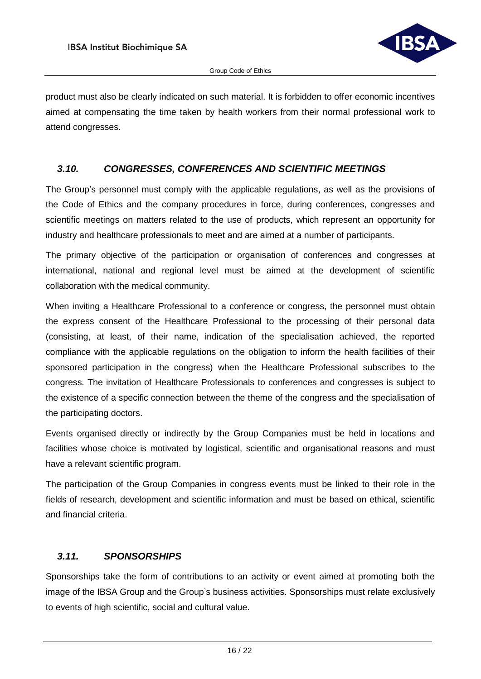

product must also be clearly indicated on such material. It is forbidden to offer economic incentives aimed at compensating the time taken by health workers from their normal professional work to attend congresses.

#### <span id="page-15-0"></span>*3.10. CONGRESSES, CONFERENCES AND SCIENTIFIC MEETINGS*

The Group's personnel must comply with the applicable regulations, as well as the provisions of the Code of Ethics and the company procedures in force, during conferences, congresses and scientific meetings on matters related to the use of products, which represent an opportunity for industry and healthcare professionals to meet and are aimed at a number of participants.

The primary objective of the participation or organisation of conferences and congresses at international, national and regional level must be aimed at the development of scientific collaboration with the medical community.

When inviting a Healthcare Professional to a conference or congress, the personnel must obtain the express consent of the Healthcare Professional to the processing of their personal data (consisting, at least, of their name, indication of the specialisation achieved, the reported compliance with the applicable regulations on the obligation to inform the health facilities of their sponsored participation in the congress) when the Healthcare Professional subscribes to the congress. The invitation of Healthcare Professionals to conferences and congresses is subject to the existence of a specific connection between the theme of the congress and the specialisation of the participating doctors.

Events organised directly or indirectly by the Group Companies must be held in locations and facilities whose choice is motivated by logistical, scientific and organisational reasons and must have a relevant scientific program.

The participation of the Group Companies in congress events must be linked to their role in the fields of research, development and scientific information and must be based on ethical, scientific and financial criteria.

# <span id="page-15-1"></span>*3.11. SPONSORSHIPS*

Sponsorships take the form of contributions to an activity or event aimed at promoting both the image of the IBSA Group and the Group's business activities. Sponsorships must relate exclusively to events of high scientific, social and cultural value.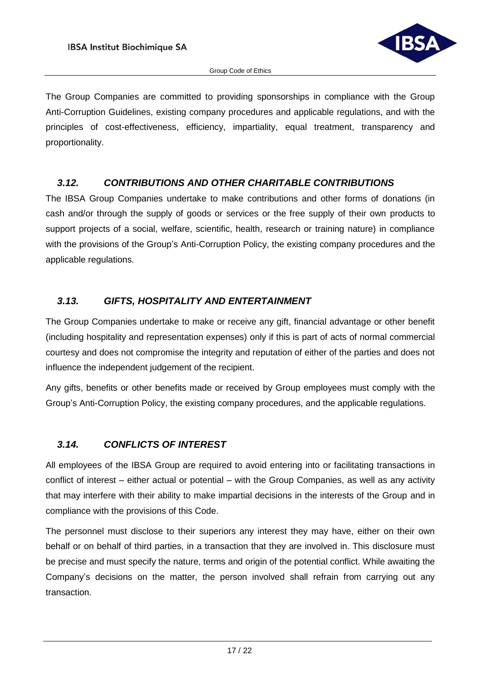

The Group Companies are committed to providing sponsorships in compliance with the Group Anti-Corruption Guidelines, existing company procedures and applicable regulations, and with the principles of cost-effectiveness, efficiency, impartiality, equal treatment, transparency and proportionality.

# <span id="page-16-0"></span>*3.12. CONTRIBUTIONS AND OTHER CHARITABLE CONTRIBUTIONS*

The IBSA Group Companies undertake to make contributions and other forms of donations (in cash and/or through the supply of goods or services or the free supply of their own products to support projects of a social, welfare, scientific, health, research or training nature) in compliance with the provisions of the Group's Anti-Corruption Policy, the existing company procedures and the applicable regulations.

# <span id="page-16-1"></span>*3.13. GIFTS, HOSPITALITY AND ENTERTAINMENT*

The Group Companies undertake to make or receive any gift, financial advantage or other benefit (including hospitality and representation expenses) only if this is part of acts of normal commercial courtesy and does not compromise the integrity and reputation of either of the parties and does not influence the independent judgement of the recipient.

Any gifts, benefits or other benefits made or received by Group employees must comply with the Group's Anti-Corruption Policy, the existing company procedures, and the applicable regulations.

# <span id="page-16-2"></span>*3.14. CONFLICTS OF INTEREST*

All employees of the IBSA Group are required to avoid entering into or facilitating transactions in conflict of interest – either actual or potential – with the Group Companies, as well as any activity that may interfere with their ability to make impartial decisions in the interests of the Group and in compliance with the provisions of this Code.

The personnel must disclose to their superiors any interest they may have, either on their own behalf or on behalf of third parties, in a transaction that they are involved in. This disclosure must be precise and must specify the nature, terms and origin of the potential conflict. While awaiting the Company's decisions on the matter, the person involved shall refrain from carrying out any transaction.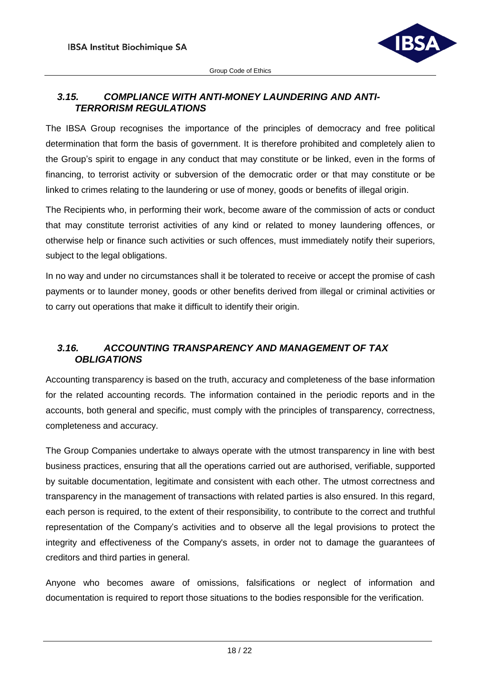

# <span id="page-17-0"></span>*3.15. COMPLIANCE WITH ANTI-MONEY LAUNDERING AND ANTI-TERRORISM REGULATIONS*

The IBSA Group recognises the importance of the principles of democracy and free political determination that form the basis of government. It is therefore prohibited and completely alien to the Group's spirit to engage in any conduct that may constitute or be linked, even in the forms of financing, to terrorist activity or subversion of the democratic order or that may constitute or be linked to crimes relating to the laundering or use of money, goods or benefits of illegal origin.

The Recipients who, in performing their work, become aware of the commission of acts or conduct that may constitute terrorist activities of any kind or related to money laundering offences, or otherwise help or finance such activities or such offences, must immediately notify their superiors, subject to the legal obligations.

In no way and under no circumstances shall it be tolerated to receive or accept the promise of cash payments or to launder money, goods or other benefits derived from illegal or criminal activities or to carry out operations that make it difficult to identify their origin.

# <span id="page-17-1"></span>*3.16. ACCOUNTING TRANSPARENCY AND MANAGEMENT OF TAX OBLIGATIONS*

Accounting transparency is based on the truth, accuracy and completeness of the base information for the related accounting records. The information contained in the periodic reports and in the accounts, both general and specific, must comply with the principles of transparency, correctness, completeness and accuracy.

The Group Companies undertake to always operate with the utmost transparency in line with best business practices, ensuring that all the operations carried out are authorised, verifiable, supported by suitable documentation, legitimate and consistent with each other. The utmost correctness and transparency in the management of transactions with related parties is also ensured. In this regard, each person is required, to the extent of their responsibility, to contribute to the correct and truthful representation of the Company's activities and to observe all the legal provisions to protect the integrity and effectiveness of the Company's assets, in order not to damage the guarantees of creditors and third parties in general.

Anyone who becomes aware of omissions, falsifications or neglect of information and documentation is required to report those situations to the bodies responsible for the verification.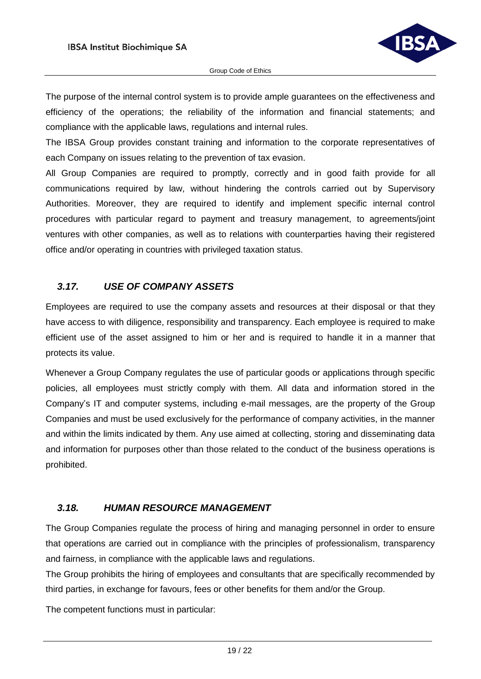

The purpose of the internal control system is to provide ample guarantees on the effectiveness and efficiency of the operations; the reliability of the information and financial statements; and compliance with the applicable laws, regulations and internal rules.

The IBSA Group provides constant training and information to the corporate representatives of each Company on issues relating to the prevention of tax evasion.

All Group Companies are required to promptly, correctly and in good faith provide for all communications required by law, without hindering the controls carried out by Supervisory Authorities. Moreover, they are required to identify and implement specific internal control procedures with particular regard to payment and treasury management, to agreements/joint ventures with other companies, as well as to relations with counterparties having their registered office and/or operating in countries with privileged taxation status.

# <span id="page-18-0"></span>*3.17. USE OF COMPANY ASSETS*

Employees are required to use the company assets and resources at their disposal or that they have access to with diligence, responsibility and transparency. Each employee is required to make efficient use of the asset assigned to him or her and is required to handle it in a manner that protects its value.

Whenever a Group Company regulates the use of particular goods or applications through specific policies, all employees must strictly comply with them. All data and information stored in the Company's IT and computer systems, including e-mail messages, are the property of the Group Companies and must be used exclusively for the performance of company activities, in the manner and within the limits indicated by them. Any use aimed at collecting, storing and disseminating data and information for purposes other than those related to the conduct of the business operations is prohibited.

# <span id="page-18-1"></span>*3.18. HUMAN RESOURCE MANAGEMENT*

The Group Companies regulate the process of hiring and managing personnel in order to ensure that operations are carried out in compliance with the principles of professionalism, transparency and fairness, in compliance with the applicable laws and regulations.

The Group prohibits the hiring of employees and consultants that are specifically recommended by third parties, in exchange for favours, fees or other benefits for them and/or the Group.

The competent functions must in particular: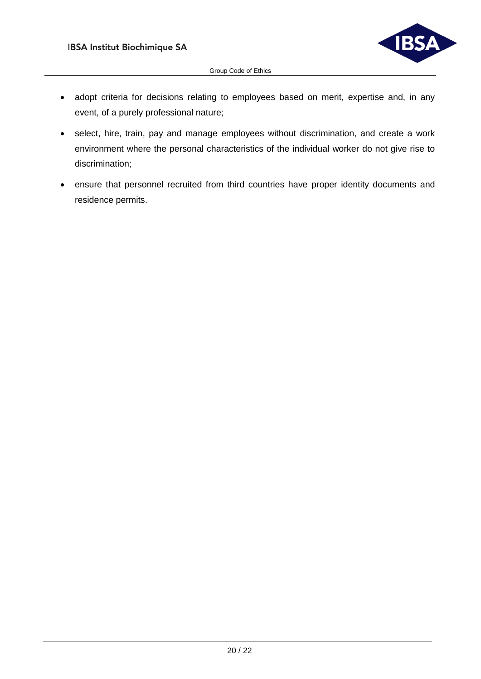

- adopt criteria for decisions relating to employees based on merit, expertise and, in any event, of a purely professional nature;
- select, hire, train, pay and manage employees without discrimination, and create a work environment where the personal characteristics of the individual worker do not give rise to discrimination;
- ensure that personnel recruited from third countries have proper identity documents and residence permits.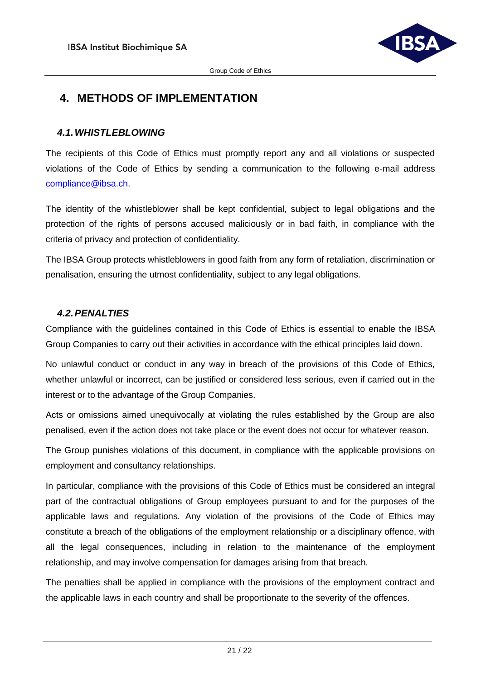

# <span id="page-20-0"></span>**4. METHODS OF IMPLEMENTATION**

#### <span id="page-20-1"></span>*4.1.WHISTLEBLOWING*

The recipients of this Code of Ethics must promptly report any and all violations or suspected violations of the Code of Ethics by sending a communication to the following e-mail address [compliance@ibsa.ch.](mailto:compliance@ibsa.ch)

The identity of the whistleblower shall be kept confidential, subject to legal obligations and the protection of the rights of persons accused maliciously or in bad faith, in compliance with the criteria of privacy and protection of confidentiality.

The IBSA Group protects whistleblowers in good faith from any form of retaliation, discrimination or penalisation, ensuring the utmost confidentiality, subject to any legal obligations.

#### <span id="page-20-2"></span>*4.2.PENALTIES*

Compliance with the guidelines contained in this Code of Ethics is essential to enable the IBSA Group Companies to carry out their activities in accordance with the ethical principles laid down.

No unlawful conduct or conduct in any way in breach of the provisions of this Code of Ethics, whether unlawful or incorrect, can be justified or considered less serious, even if carried out in the interest or to the advantage of the Group Companies.

Acts or omissions aimed unequivocally at violating the rules established by the Group are also penalised, even if the action does not take place or the event does not occur for whatever reason.

The Group punishes violations of this document, in compliance with the applicable provisions on employment and consultancy relationships.

In particular, compliance with the provisions of this Code of Ethics must be considered an integral part of the contractual obligations of Group employees pursuant to and for the purposes of the applicable laws and regulations. Any violation of the provisions of the Code of Ethics may constitute a breach of the obligations of the employment relationship or a disciplinary offence, with all the legal consequences, including in relation to the maintenance of the employment relationship, and may involve compensation for damages arising from that breach.

The penalties shall be applied in compliance with the provisions of the employment contract and the applicable laws in each country and shall be proportionate to the severity of the offences.